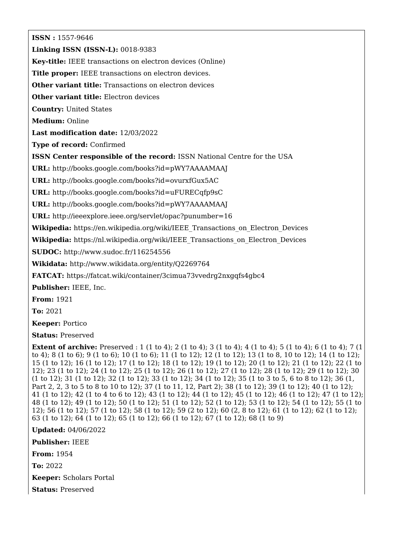**ISSN :** 1557-9646

**Linking ISSN (ISSN-L):** 0018-9383

**Key-title:** IEEE transactions on electron devices (Online)

**Title proper:** IEEE transactions on electron devices.

**Other variant title:** Transactions on electron devices

**Other variant title:** Electron devices

**Country:** United States

**Medium:** Online

**Last modification date:** 12/03/2022

**Type of record:** Confirmed

**ISSN Center responsible of the record:** ISSN National Centre for the USA

**URL:** <http://books.google.com/books?id=pWY7AAAAMAAJ>

**URL:** <http://books.google.com/books?id=ovurxfGux5AC>

**URL:** <http://books.google.com/books?id=uFURECqfp9sC>

**URL:** <http://books.google.com/books?id=pWY7AAAAMAAJ>

**URL:** <http://ieeexplore.ieee.org/servlet/opac?punumber=16>

**Wikipedia:** [https://en.wikipedia.org/wiki/IEEE\\_Transactions\\_on\\_Electron\\_Devices](https://en.wikipedia.org/wiki/IEEE_Transactions_on_Electron_Devices)

Wikipedia: [https://nl.wikipedia.org/wiki/IEEE\\_Transactions\\_on\\_Electron\\_Devices](https://nl.wikipedia.org/wiki/IEEE_Transactions_on_Electron_Devices)

**SUDOC:** <http://www.sudoc.fr/116254556>

**Wikidata:** <http://www.wikidata.org/entity/Q2269764>

**FATCAT:** <https://fatcat.wiki/container/3cimua73vvedrg2nxgqfs4gbc4>

**Publisher:** IEEE, Inc.

**From:** 1921

**To:** 2021

**Keeper:** Portico

**Status:** Preserved

**Extent of archive:** Preserved : 1 (1 to 4); 2 (1 to 4); 3 (1 to 4); 4 (1 to 4); 5 (1 to 4); 6 (1 to 4); 7 (1 to 4); 8 (1 to 6); 9 (1 to 6); 10 (1 to 6); 11 (1 to 12); 12 (1 to 12); 13 (1 to 8, 10 to 12); 14 (1 to 12); 15 (1 to 12); 16 (1 to 12); 17 (1 to 12); 18 (1 to 12); 19 (1 to 12); 20 (1 to 12); 21 (1 to 12); 22 (1 to 12); 23 (1 to 12); 24 (1 to 12); 25 (1 to 12); 26 (1 to 12); 27 (1 to 12); 28 (1 to 12); 29 (1 to 12); 30 (1 to 12); 31 (1 to 12); 32 (1 to 12); 33 (1 to 12); 34 (1 to 12); 35 (1 to 3 to 5, 6 to 8 to 12); 36 (1, Part 2, 2, 3 to 5 to 8 to 10 to 12); 37 (1 to 11, 12, Part 2); 38 (1 to 12); 39 (1 to 12); 40 (1 to 12); 41 (1 to 12); 42 (1 to 4 to 6 to 12); 43 (1 to 12); 44 (1 to 12); 45 (1 to 12); 46 (1 to 12); 47 (1 to 12); 48 (1 to 12); 49 (1 to 12); 50 (1 to 12); 51 (1 to 12); 52 (1 to 12); 53 (1 to 12); 54 (1 to 12); 55 (1 to 12); 56 (1 to 12); 57 (1 to 12); 58 (1 to 12); 59 (2 to 12); 60 (2, 8 to 12); 61 (1 to 12); 62 (1 to 12); 63 (1 to 12); 64 (1 to 12); 65 (1 to 12); 66 (1 to 12); 67 (1 to 12); 68 (1 to 9)

**Updated:** 04/06/2022

**Publisher:** IEEE

**From:** 1954

**To:** 2022

**Keeper:** Scholars Portal

**Status:** Preserved